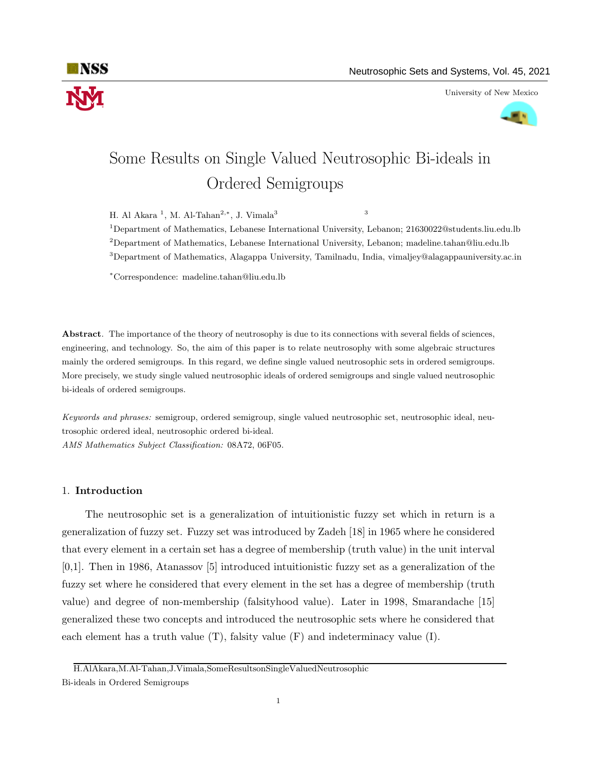

University of New Mexico



# Some Results on Single Valued Neutrosophic Bi-ideals in Ordered Semigroups

H. Al Akara <sup>1</sup>, M. Al-Tahan<sup>2,\*</sup>, J. Vimala<sup>3</sup> 3

<sup>1</sup>Department of Mathematics, Lebanese International University, Lebanon; 21630022@students.liu.edu.lb <sup>2</sup>Department of Mathematics, Lebanese International University, Lebanon; madeline.tahan@liu.edu.lb <sup>3</sup>Department of Mathematics, Alagappa University, Tamilnadu, India, vimaljey@alagappauniversity.ac.in

<sup>∗</sup>Correspondence: madeline.tahan@liu.edu.lb

Abstract. The importance of the theory of neutrosophy is due to its connections with several fields of sciences, engineering, and technology. So, the aim of this paper is to relate neutrosophy with some algebraic structures mainly the ordered semigroups. In this regard, we define single valued neutrosophic sets in ordered semigroups. More precisely, we study single valued neutrosophic ideals of ordered semigroups and single valued neutrosophic bi-ideals of ordered semigroups.

Keywords and phrases: semigroup, ordered semigroup, single valued neutrosophic set, neutrosophic ideal, neutrosophic ordered ideal, neutrosophic ordered bi-ideal. AMS Mathematics Subject Classification: 08A72, 06F05.

# 1. Introduction

The neutrosophic set is a generalization of intuitionistic fuzzy set which in return is a generalization of fuzzy set. Fuzzy set was introduced by Zadeh [18] in 1965 where he considered that every element in a certain set has a degree of membership (truth value) in the unit interval [0,1]. Then in 1986, Atanassov [5] introduced intuitionistic fuzzy set as a generalization of the fuzzy set where he considered that every element in the set has a degree of membership (truth value) and degree of non-membership (falsityhood value). Later in 1998, Smarandache [15] generalized these two concepts and introduced the neutrosophic sets where he considered that each element has a truth value  $(T)$ , falsity value  $(F)$  and indeterminacy value  $(I)$ .

H.AlAkara,M.Al-Tahan,J.Vimala,SomeResultsonSingleValuedNeutrosophic

Bi-ideals in Ordered Semigroups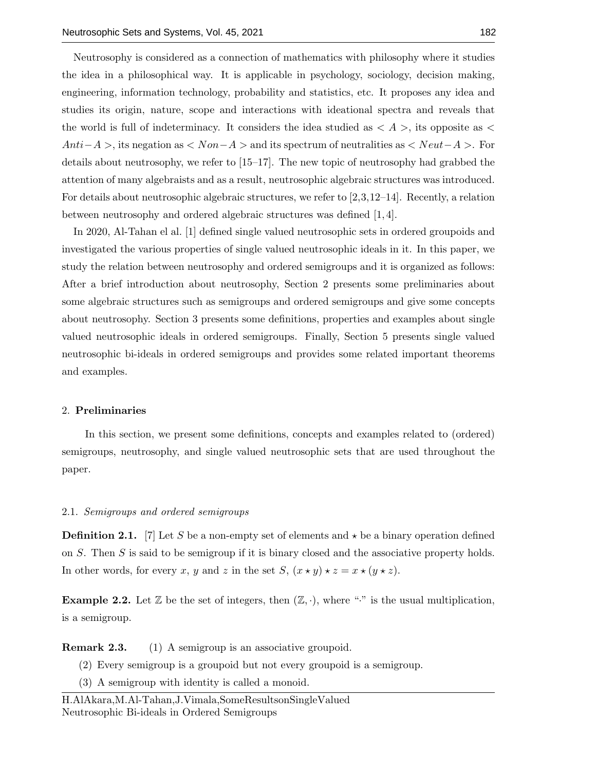Neutrosophy is considered as a connection of mathematics with philosophy where it studies the idea in a philosophical way. It is applicable in psychology, sociology, decision making, engineering, information technology, probability and statistics, etc. It proposes any idea and studies its origin, nature, scope and interactions with ideational spectra and reveals that the world is full of indeterminacy. It considers the idea studied as  $\langle A \rangle$ , its opposite as  $\langle A \rangle$  $Anti-A >$ , its negation as  $\langle Non-A >$  and its spectrum of neutralities as  $\langle Neut-A >$ . For details about neutrosophy, we refer to [15–17]. The new topic of neutrosophy had grabbed the attention of many algebraists and as a result, neutrosophic algebraic structures was introduced. For details about neutrosophic algebraic structures, we refer to  $[2,3,12-14]$ . Recently, a relation between neutrosophy and ordered algebraic structures was defined [1, 4].

In 2020, Al-Tahan el al. [1] defined single valued neutrosophic sets in ordered groupoids and investigated the various properties of single valued neutrosophic ideals in it. In this paper, we study the relation between neutrosophy and ordered semigroups and it is organized as follows: After a brief introduction about neutrosophy, Section 2 presents some preliminaries about some algebraic structures such as semigroups and ordered semigroups and give some concepts about neutrosophy. Section 3 presents some definitions, properties and examples about single valued neutrosophic ideals in ordered semigroups. Finally, Section 5 presents single valued neutrosophic bi-ideals in ordered semigroups and provides some related important theorems and examples.

## 2. Preliminaries

In this section, we present some definitions, concepts and examples related to (ordered) semigroups, neutrosophy, and single valued neutrosophic sets that are used throughout the paper.

#### 2.1. Semigroups and ordered semigroups

**Definition 2.1.** [7] Let S be a non-empty set of elements and  $\star$  be a binary operation defined on  $S$ . Then  $S$  is said to be semigroup if it is binary closed and the associative property holds. In other words, for every x, y and z in the set S,  $(x \star y) \star z = x \star (y \star z)$ .

**Example 2.2.** Let  $\mathbb{Z}$  be the set of integers, then  $(\mathbb{Z}, \cdot)$ , where "·" is the usual multiplication, is a semigroup.

**Remark 2.3.** (1) A semigroup is an associative groupoid.

- (2) Every semigroup is a groupoid but not every groupoid is a semigroup.
- (3) A semigroup with identity is called a monoid.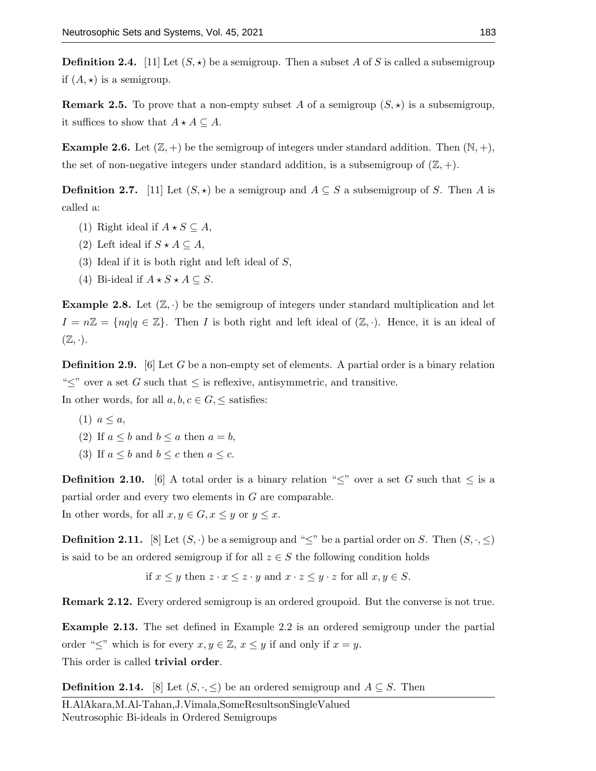**Definition 2.4.** [11] Let  $(S, \star)$  be a semigroup. Then a subset A of S is called a subsemigroup if  $(A, \star)$  is a semigroup.

**Remark 2.5.** To prove that a non-empty subset A of a semigroup  $(S, \star)$  is a subsemigroup, it suffices to show that  $A \star A \subseteq A$ .

**Example 2.6.** Let  $(\mathbb{Z}, +)$  be the semigroup of integers under standard addition. Then  $(\mathbb{N}, +)$ , the set of non-negative integers under standard addition, is a subsemigroup of  $(\mathbb{Z}, +)$ .

**Definition 2.7.** [11] Let  $(S, \star)$  be a semigroup and  $A \subseteq S$  a subsemigroup of S. Then A is called a:

- (1) Right ideal if  $A \star S \subseteq A$ ,
- (2) Left ideal if  $S \star A \subseteq A$ ,
- $(3)$  Ideal if it is both right and left ideal of  $S$ ,
- (4) Bi-ideal if  $A \star S \star A \subseteq S$ .

**Example 2.8.** Let  $(\mathbb{Z}, \cdot)$  be the semigroup of integers under standard multiplication and let  $I = n\mathbb{Z} = \{nq | q \in \mathbb{Z}\}\.$  Then I is both right and left ideal of  $(\mathbb{Z}, \cdot)$ . Hence, it is an ideal of  $(\mathbb{Z}, \cdot).$ 

**Definition 2.9.** [6] Let G be a non-empty set of elements. A partial order is a binary relation " $\leq$ " over a set G such that  $\leq$  is reflexive, antisymmetric, and transitive.

In other words, for all  $a, b, c \in G$ ,  $\leq$  satisfies:

- (1)  $a \leq a$ ,
- (2) If  $a \leq b$  and  $b \leq a$  then  $a = b$ ,
- (3) If  $a \leq b$  and  $b \leq c$  then  $a \leq c$ .

**Definition 2.10.** [6] A total order is a binary relation " $\leq$ " over a set G such that  $\leq$  is a partial order and every two elements in G are comparable.

In other words, for all  $x, y \in G, x \leq y$  or  $y \leq x$ .

**Definition 2.11.** [8] Let  $(S, \cdot)$  be a semigroup and " $\leq$ " be a partial order on S. Then  $(S, \cdot, \leq)$ is said to be an ordered semigroup if for all  $z \in S$  the following condition holds

if  $x \leq y$  then  $z \cdot x \leq z \cdot y$  and  $x \cdot z \leq y \cdot z$  for all  $x, y \in S$ .

Remark 2.12. Every ordered semigroup is an ordered groupoid. But the converse is not true.

Example 2.13. The set defined in Example 2.2 is an ordered semigroup under the partial order " $\leq$ " which is for every  $x, y \in \mathbb{Z}, x \leq y$  if and only if  $x = y$ . This order is called trivial order.

**Definition 2.14.** [8] Let  $(S, \cdot, \leq)$  be an ordered semigroup and  $A \subseteq S$ . Then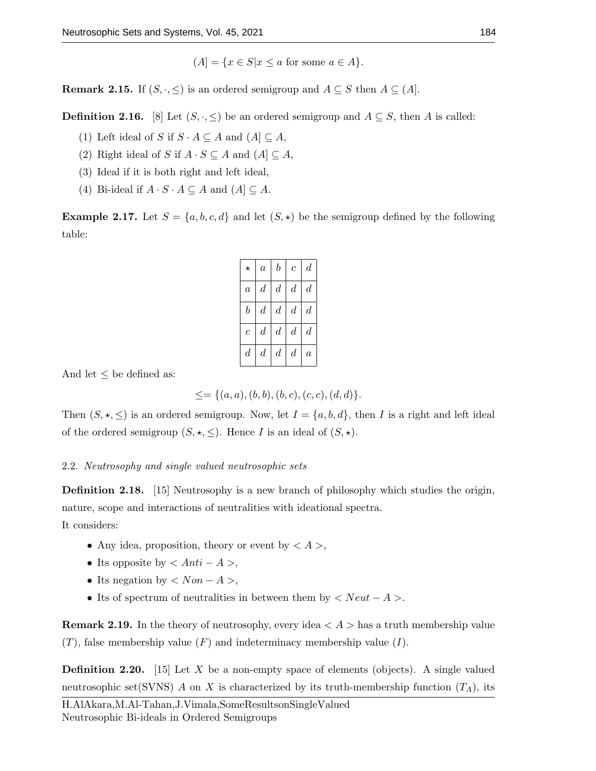$$
(A) = \{ x \in S | x \le a \text{ for some } a \in A \}.
$$

**Remark 2.15.** If  $(S, \cdot, \leq)$  is an ordered semigroup and  $A \subseteq S$  then  $A \subseteq (A]$ .

**Definition 2.16.** [8] Let  $(S, \cdot, \leq)$  be an ordered semigroup and  $A \subseteq S$ , then A is called:

- (1) Left ideal of S if  $S \cdot A \subseteq A$  and  $(A] \subseteq A$ ,
- (2) Right ideal of S if  $A \cdot S \subseteq A$  and  $(A] \subseteq A$ ,
- (3) Ideal if it is both right and left ideal,
- (4) Bi-ideal if  $A \cdot S \cdot A \subseteq A$  and  $(A) \subseteq A$ .

**Example 2.17.** Let  $S = \{a, b, c, d\}$  and let  $(S, \star)$  be the semigroup defined by the following table:

| $\star$          | $\boldsymbol{a}$ | $\boldsymbol{b}$ | $\boldsymbol{c}$ | $\boldsymbol{d}$ |
|------------------|------------------|------------------|------------------|------------------|
| $\boldsymbol{a}$ | $\boldsymbol{d}$ | $\boldsymbol{d}$ | $\boldsymbol{d}$ | $\boldsymbol{d}$ |
| $\boldsymbol{b}$ | $\boldsymbol{d}$ | $\boldsymbol{d}$ | $\boldsymbol{d}$ | $\boldsymbol{d}$ |
| $\overline{c}$   | $\boldsymbol{d}$ | $\boldsymbol{d}$ | $d\,$            | $\boldsymbol{d}$ |
| $\boldsymbol{d}$ | $\boldsymbol{d}$ | $\boldsymbol{d}$ | $\boldsymbol{d}$ | $\overline{a}$   |

And let  $\leq$  be defined as:

 $\leq = \{(a, a), (b, b), (b, c), (c, c), (d, d)\}.$ 

Then  $(S, \star, \leq)$  is an ordered semigroup. Now, let  $I = \{a, b, d\}$ , then I is a right and left ideal of the ordered semigroup  $(S, \star, \leq)$ . Hence I is an ideal of  $(S, \star)$ .

# 2.2. Neutrosophy and single valued neutrosophic sets

Definition 2.18. [15] Neutrosophy is a new branch of philosophy which studies the origin, nature, scope and interactions of neutralities with ideational spectra.

It considers:

- Any idea, proposition, theory or event by  $\langle A \rangle$ ,
- Its opposite by  $\langle Anti A \rangle$ ,
- Its negation by  $\langle Non A \rangle$ ,
- Its of spectrum of neutralities in between them by  $\langle Neut A \rangle$ .

**Remark 2.19.** In the theory of neutrosophy, every idea  $\langle A \rangle$  has a truth membership value  $(T)$ , false membership value  $(F)$  and indeterminacy membership value  $(I)$ .

**Definition 2.20.** [15] Let X be a non-empty space of elements (objects). A single valued neutrosophic set(SVNS) A on X is characterized by its truth-membership function  $(T_A)$ , its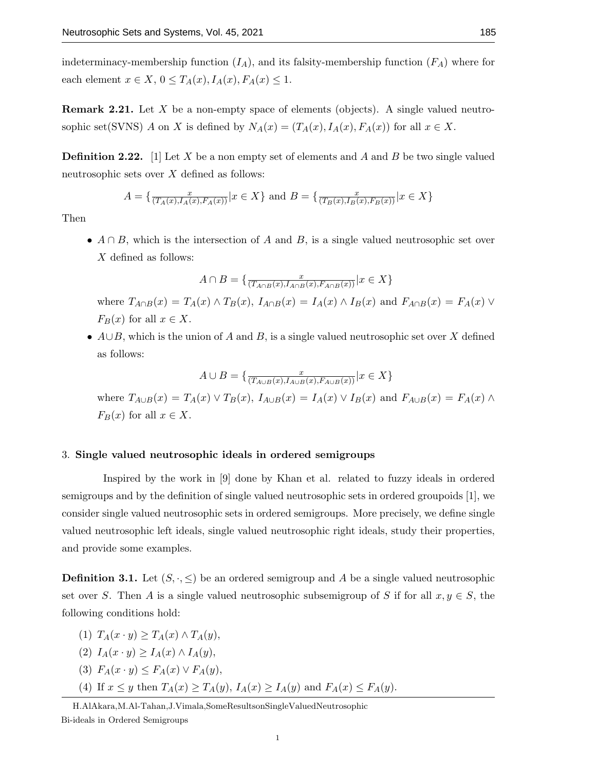indeterminacy-membership function  $(I_A)$ , and its falsity-membership function  $(F_A)$  where for each element  $x \in X$ ,  $0 \leq T_A(x)$ ,  $I_A(x)$ ,  $F_A(x) \leq 1$ .

**Remark 2.21.** Let X be a non-empty space of elements (objects). A single valued neutrosophic set(SVNS) A on X is defined by  $N_A(x) = (T_A(x), I_A(x), F_A(x))$  for all  $x \in X$ .

**Definition 2.22.** [1] Let X be a non empty set of elements and A and B be two single valued neutrosophic sets over X defined as follows:

$$
A = \{ \frac{x}{(T_A(x), I_A(x), F_A(x))} | x \in X \} \text{ and } B = \{ \frac{x}{(T_B(x), I_B(x), F_B(x))} | x \in X \}
$$

Then

•  $A \cap B$ , which is the intersection of A and B, is a single valued neutrosophic set over X defined as follows:

$$
A \cap B = \{ \frac{x}{(T_{A \cap B}(x), I_{A \cap B}(x), F_{A \cap B}(x))} | x \in X \}
$$

where  $T_{A\cap B}(x) = T_A(x) \wedge T_B(x)$ ,  $I_{A\cap B}(x) = I_A(x) \wedge I_B(x)$  and  $F_{A\cap B}(x) = F_A(x) \vee F_A(x)$  $F_B(x)$  for all  $x \in X$ .

•  $A \cup B$ , which is the union of A and B, is a single valued neutrosophic set over X defined as follows:

$$
A \cup B = \{ \frac{x}{(T_{A \cup B}(x), I_{A \cup B}(x), F_{A \cup B}(x))} | x \in X \}
$$

where  $T_{A\cup B}(x) = T_A(x) \vee T_B(x)$ ,  $I_{A\cup B}(x) = I_A(x) \vee I_B(x)$  and  $F_{A\cup B}(x) = F_A(x) \wedge$  $F_B(x)$  for all  $x \in X$ .

## 3. Single valued neutrosophic ideals in ordered semigroups

Inspired by the work in [9] done by Khan et al. related to fuzzy ideals in ordered semigroups and by the definition of single valued neutrosophic sets in ordered groupoids [1], we consider single valued neutrosophic sets in ordered semigroups. More precisely, we define single valued neutrosophic left ideals, single valued neutrosophic right ideals, study their properties, and provide some examples.

**Definition 3.1.** Let  $(S, \cdot, \leq)$  be an ordered semigroup and A be a single valued neutrosophic set over S. Then A is a single valued neutrosophic subsemigroup of S if for all  $x, y \in S$ , the following conditions hold:

- (1)  $T_A(x \cdot y) > T_A(x) \wedge T_A(y)$ ,
- (2)  $I_A(x \cdot y) \geq I_A(x) \wedge I_A(y)$ ,
- (3)  $F_A(x \cdot y) \leq F_A(x) \vee F_A(y)$ ,
- (4) If  $x \leq y$  then  $T_A(x) \geq T_A(y)$ ,  $I_A(x) \geq I_A(y)$  and  $F_A(x) \leq F_A(y)$ .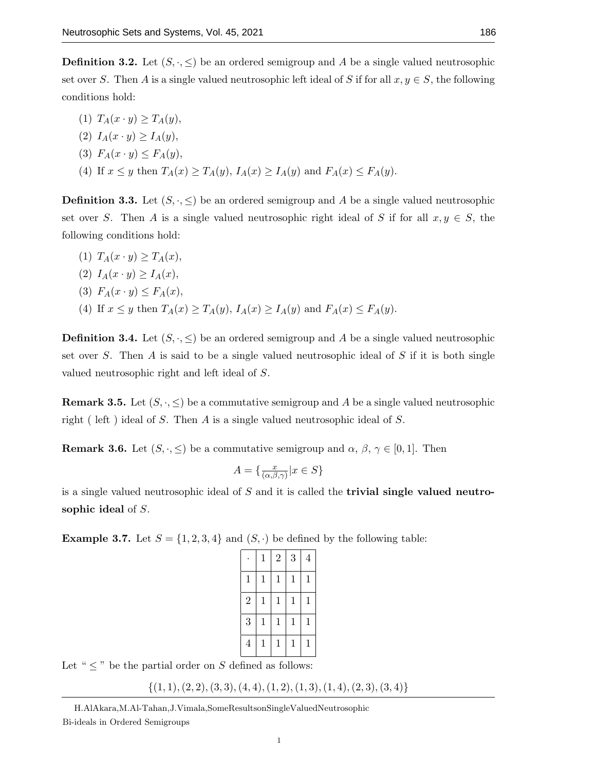**Definition 3.2.** Let  $(S, \cdot, \leq)$  be an ordered semigroup and A be a single valued neutrosophic set over S. Then A is a single valued neutrosophic left ideal of S if for all  $x, y \in S$ , the following conditions hold:

(1)  $T_A(x \cdot y) \geq T_A(y)$ , (2)  $I_A(x \cdot y) > I_A(y)$ , (3)  $F_A(x \cdot y) \leq F_A(y)$ , (4) If  $x \leq y$  then  $T_A(x) \geq T_A(y)$ ,  $I_A(x) \geq I_A(y)$  and  $F_A(x) \leq F_A(y)$ .

**Definition 3.3.** Let  $(S, \cdot, \leq)$  be an ordered semigroup and A be a single valued neutrosophic set over S. Then A is a single valued neutrosophic right ideal of S if for all  $x, y \in S$ , the following conditions hold:

(1)  $T_A(x \cdot y) \geq T_A(x)$ , (2)  $I_A(x \cdot y) > I_A(x)$ , (3)  $F_A(x \cdot y) \leq F_A(x)$ , (4) If  $x \leq y$  then  $T_A(x) \geq T_A(y)$ ,  $I_A(x) \geq I_A(y)$  and  $F_A(x) \leq F_A(y)$ .

**Definition 3.4.** Let  $(S, \cdot, \leq)$  be an ordered semigroup and A be a single valued neutrosophic set over S. Then A is said to be a single valued neutrosophic ideal of S if it is both single valued neutrosophic right and left ideal of S.

**Remark 3.5.** Let  $(S, \cdot, \leq)$  be a commutative semigroup and A be a single valued neutrosophic right ( left ) ideal of S. Then A is a single valued neutrosophic ideal of S.

**Remark 3.6.** Let  $(S, \cdot, \leq)$  be a commutative semigroup and  $\alpha, \beta, \gamma \in [0, 1]$ . Then

$$
A = \{ \frac{x}{(\alpha, \beta, \gamma)} | x \in S \}
$$

is a single valued neutrosophic ideal of  $S$  and it is called the **trivial single valued neutro**sophic ideal of S.

**Example 3.7.** Let  $S = \{1, 2, 3, 4\}$  and  $(S, \cdot)$  be defined by the following table:

|                | $\mathbf{1}$ | $\overline{2}$ | 3            | $\overline{4}$ |
|----------------|--------------|----------------|--------------|----------------|
| $\mathbf{1}$   | $\mathbf{1}$ | 1              | $\mathbf{1}$ | 1              |
| $\overline{2}$ | $\mathbf{1}$ | $\mathbf 1$    | $\mathbf{1}$ | 1              |
| 3              | $\mathbf{1}$ | $\mathbf 1$    | $\mathbf{1}$ | $\mathbf 1$    |
| $\overline{4}$ | $\mathbf{1}$ | 1              | $\mathbf{1}$ | $\mathbf 1$    |

Let " $\leq$ " be the partial order on S defined as follows:

 $\{(1, 1), (2, 2), (3, 3), (4, 4), (1, 2), (1, 3), (1, 4), (2, 3), (3, 4)\}$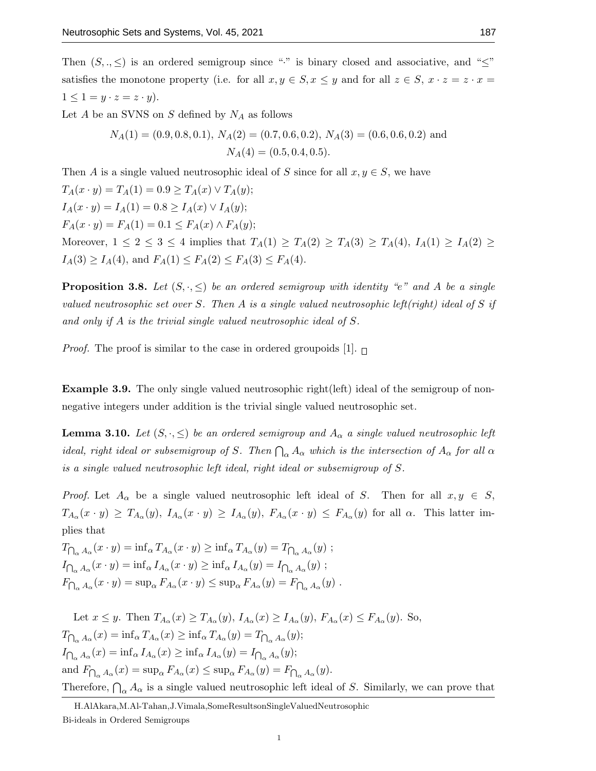Then  $(S, ., \leq)$  is an ordered semigroup since "·" is binary closed and associative, and " $\leq$ " satisfies the monotone property (i.e. for all  $x, y \in S, x \leq y$  and for all  $z \in S, x \cdot z = z \cdot x = z$  $1 \leq 1 = y \cdot z = z \cdot y$ .

Let  $A$  be an SVNS on  $S$  defined by  $N_A$  as follows

$$
N_A(1) = (0.9, 0.8, 0.1), N_A(2) = (0.7, 0.6, 0.2), N_A(3) = (0.6, 0.6, 0.2)
$$
 and  

$$
N_A(4) = (0.5, 0.4, 0.5).
$$

Then A is a single valued neutrosophic ideal of S since for all  $x, y \in S$ , we have  $T_A(x \cdot y) = T_A(1) = 0.9 \ge T_A(x) \vee T_A(y);$  $I_A(x \cdot y) = I_A(1) = 0.8 \geq I_A(x) \vee I_A(y);$  $F_A(x \cdot y) = F_A(1) = 0.1 \le F_A(x) \wedge F_A(y);$ Moreover,  $1 \le 2 \le 3 \le 4$  implies that  $T_A(1) \ge T_A(2) \ge T_A(3) \ge T_A(4)$ ,  $I_A(1) \ge I_A(2) \ge$  $I_A(3) \geq I_A(4)$ , and  $F_A(1) \leq F_A(2) \leq F_A(3) \leq F_A(4)$ .

**Proposition 3.8.** Let  $(S, \cdot, \leq)$  be an ordered semigroup with identity "e" and A be a single valued neutrosophic set over S. Then A is a single valued neutrosophic left(right) ideal of S if and only if A is the trivial single valued neutrosophic ideal of S.

*Proof.* The proof is similar to the case in ordered groupoids [1].  $\Box$ 

Example 3.9. The only single valued neutrosophic right(left) ideal of the semigroup of nonnegative integers under addition is the trivial single valued neutrosophic set.

**Lemma 3.10.** Let  $(S, \cdot, \leq)$  be an ordered semigroup and  $A_\alpha$  a single valued neutrosophic left ideal, right ideal or subsemigroup of S. Then  $\bigcap_{\alpha} A_{\alpha}$  which is the intersection of  $A_{\alpha}$  for all  $\alpha$ is a single valued neutrosophic left ideal, right ideal or subsemigroup of S.

*Proof.* Let  $A_{\alpha}$  be a single valued neutrosophic left ideal of S. Then for all  $x, y \in S$ ,  $T_{A_\alpha}(x \cdot y) \geq T_{A_\alpha}(y)$ ,  $I_{A_\alpha}(x \cdot y) \geq I_{A_\alpha}(y)$ ,  $F_{A_\alpha}(x \cdot y) \leq F_{A_\alpha}(y)$  for all  $\alpha$ . This latter implies that

 $T_{\bigcap_{\alpha} A_{\alpha}}(x \cdot y) = \inf_{\alpha} T_{A_{\alpha}}(x \cdot y) \ge \inf_{\alpha} T_{A_{\alpha}}(y) = T_{\bigcap_{\alpha} A_{\alpha}}(y)$ ;  $I_{\bigcap_{\alpha} A_{\alpha}}(x \cdot y) = \inf_{\alpha} I_{A_{\alpha}}(x \cdot y) \ge \inf_{\alpha} I_{A_{\alpha}}(y) = I_{\bigcap_{\alpha} A_{\alpha}}(y)$ ;  $F_{\bigcap_{\alpha} A_{\alpha}}(x \cdot y) = \sup_{\alpha} F_{A_{\alpha}}(x \cdot y) \leq \sup_{\alpha} F_{A_{\alpha}}(y) = F_{\bigcap_{\alpha} A_{\alpha}}(y)$ .

Let  $x \leq y$ . Then  $T_{A_{\alpha}}(x) \geq T_{A_{\alpha}}(y)$ ,  $I_{A_{\alpha}}(x) \geq I_{A_{\alpha}}(y)$ ,  $F_{A_{\alpha}}(x) \leq F_{A_{\alpha}}(y)$ . So,  $T_{\bigcap_{\alpha} A_{\alpha}}(x) = \inf_{\alpha} T_{A_{\alpha}}(x) \ge \inf_{\alpha} T_{A_{\alpha}}(y) = T_{\bigcap_{\alpha} A_{\alpha}}(y);$  $I_{\bigcap_{\alpha} A_{\alpha}}(x) = \inf_{\alpha} I_{A_{\alpha}}(x) \ge \inf_{\alpha} I_{A_{\alpha}}(y) = I_{\bigcap_{\alpha} A_{\alpha}}(y);$ and  $F_{\bigcap_{\alpha} A_{\alpha}}(x) = \sup_{\alpha} F_{A_{\alpha}}(x) \leq \sup_{\alpha} F_{A_{\alpha}}(y) = F_{\bigcap_{\alpha} A_{\alpha}}(y)$ . Therefore,  $\bigcap_{\alpha} A_{\alpha}$  is a single valued neutrosophic left ideal of S. Similarly, we can prove that

H.AlAkara,M.Al-Tahan,J.Vimala,SomeResultsonSingleValuedNeutrosophic Bi-ideals in Ordered Semigroups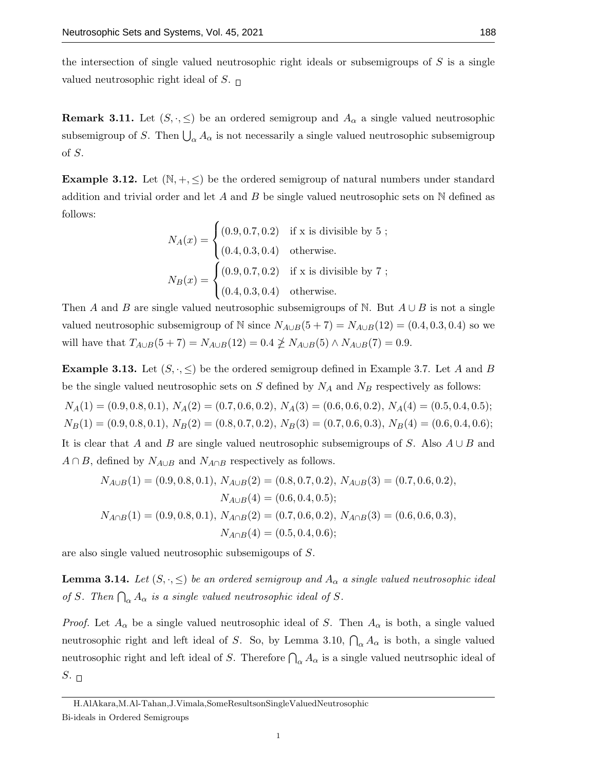the intersection of single valued neutrosophic right ideals or subsemigroups of  $S$  is a single valued neutrosophic right ideal of S.  $\Box$ 

**Remark 3.11.** Let  $(S, \cdot, \leq)$  be an ordered semigroup and  $A_{\alpha}$  a single valued neutrosophic subsemigroup of S. Then  $\bigcup_{\alpha} A_{\alpha}$  is not necessarily a single valued neutrosophic subsemigroup of S.

**Example 3.12.** Let  $(N, +, \leq)$  be the ordered semigroup of natural numbers under standard addition and trivial order and let A and B be single valued neutrosophic sets on  $\mathbb N$  defined as follows:

$$
N_A(x) = \begin{cases} (0.9, 0.7, 0.2) & \text{if } x \text{ is divisible by } 5 ;\\ (0.4, 0.3, 0.4) & \text{otherwise.} \end{cases}
$$
  

$$
N_B(x) = \begin{cases} (0.9, 0.7, 0.2) & \text{if } x \text{ is divisible by } 7 ;\\ (0.4, 0.3, 0.4) & \text{otherwise.} \end{cases}
$$

Then A and B are single valued neutrosophic subsemigroups of N. But  $A \cup B$  is not a single valued neutrosophic subsemigroup of N since  $N_{A\cup B}(5+7) = N_{A\cup B}(12) = (0.4, 0.3, 0.4)$  so we will have that  $T_{A\cup B}(5+7) = N_{A\cup B}(12) = 0.4 \not\geq N_{A\cup B}(5) \wedge N_{A\cup B}(7) = 0.9$ .

**Example 3.13.** Let  $(S, \cdot, \leq)$  be the ordered semigroup defined in Example 3.7. Let A and B be the single valued neutrosophic sets on  $S$  defined by  $N_A$  and  $N_B$  respectively as follows:

 $N_A(1) = (0.9, 0.8, 0.1), N_A(2) = (0.7, 0.6, 0.2), N_A(3) = (0.6, 0.6, 0.2), N_A(4) = (0.5, 0.4, 0.5);$  $N_B(1) = (0.9, 0.8, 0.1), N_B(2) = (0.8, 0.7, 0.2), N_B(3) = (0.7, 0.6, 0.3), N_B(4) = (0.6, 0.4, 0.6);$ It is clear that A and B are single valued neutrosophic subsemigroups of S. Also  $A \cup B$  and

$$
A \cap B
$$
, defined by  $N_{A \cup B}$  and  $N_{A \cap B}$  respectively as follows.  

$$
N_{A \cup B}(1) = (0.9, 0.8, 0.1), N_{A \cup B}(2) = (0.8, 0.7, 0.2), N_{A \cup B}(3) = (0.7, 0.6, 0.2)
$$

$$
N_{A \cup B}(1) = (0.9, 0.8, 0.1), N_{A \cup B}(2) = (0.8, 0.7, 0.2), N_{A \cup B}(3) = (0.7, 0.6, 0.2),
$$
  
\n
$$
N_{A \cup B}(4) = (0.6, 0.4, 0.5);
$$
  
\n
$$
N_{A \cap B}(1) = (0.9, 0.8, 0.1), N_{A \cap B}(2) = (0.7, 0.6, 0.2), N_{A \cap B}(3) = (0.6, 0.6, 0.3),
$$
  
\n
$$
N_{A \cap B}(4) = (0.5, 0.4, 0.6);
$$

are also single valued neutrosophic subsemigoups of S.

**Lemma 3.14.** Let  $(S, \cdot, \leq)$  be an ordered semigroup and  $A_{\alpha}$  a single valued neutrosophic ideal of S. Then  $\bigcap_{\alpha} A_{\alpha}$  is a single valued neutrosophic ideal of S.

*Proof.* Let  $A_{\alpha}$  be a single valued neutrosophic ideal of S. Then  $A_{\alpha}$  is both, a single valued neutrosophic right and left ideal of S. So, by Lemma 3.10,  $\bigcap_{\alpha} A_{\alpha}$  is both, a single valued neutrosophic right and left ideal of S. Therefore  $\bigcap_{\alpha} A_{\alpha}$  is a single valued neutrsophic ideal of  $S.$   $\Box$ 

Bi-ideals in Ordered Semigroups

H.AlAkara,M.Al-Tahan,J.Vimala,SomeResultsonSingleValuedNeutrosophic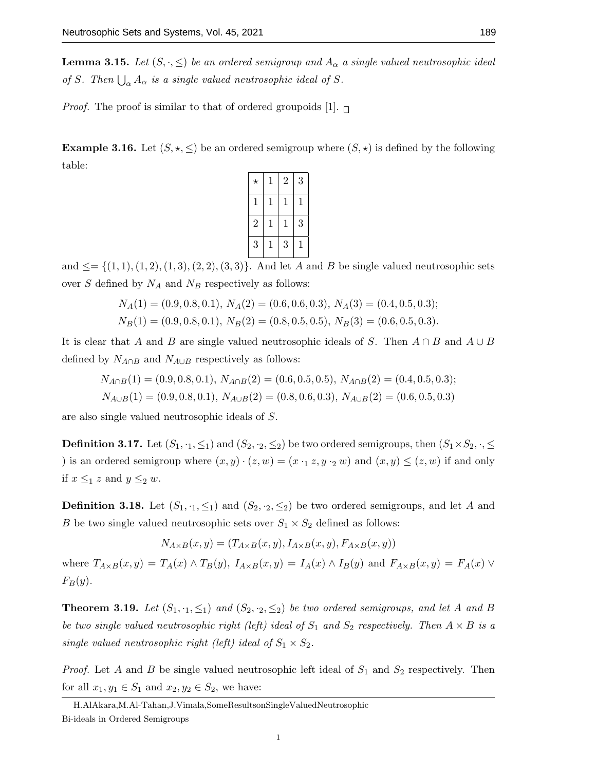**Lemma 3.15.** Let  $(S, \cdot, \leq)$  be an ordered semigroup and  $A_{\alpha}$  a single valued neutrosophic ideal of S. Then  $\bigcup_{\alpha} A_{\alpha}$  is a single valued neutrosophic ideal of S.

*Proof.* The proof is similar to that of ordered groupoids [1].  $\Box$ 

**Example 3.16.** Let  $(S, \star, \leq)$  be an ordered semigroup where  $(S, \star)$  is defined by the following table:

| $^\star$       | $\mathbf 1$ | $\overline{2}$ | 3 |
|----------------|-------------|----------------|---|
| 1              | 1           | 1              | 1 |
| $\overline{2}$ | 1           | 1              | 3 |
| 3              | 1           | 3              | 1 |

and  $\leq$  {(1, 1), (1, 2), (1, 3), (2, 2), (3, 3)}. And let A and B be single valued neutrosophic sets over  $S$  defined by  $N_A$  and  $N_B$  respectively as follows:

$$
N_A(1) = (0.9, 0.8, 0.1), N_A(2) = (0.6, 0.6, 0.3), N_A(3) = (0.4, 0.5, 0.3);
$$
  

$$
N_B(1) = (0.9, 0.8, 0.1), N_B(2) = (0.8, 0.5, 0.5), N_B(3) = (0.6, 0.5, 0.3).
$$

It is clear that A and B are single valued neutrosophic ideals of S. Then  $A \cap B$  and  $A \cup B$ defined by  $N_{A\cap B}$  and  $N_{A\cup B}$  respectively as follows:

$$
N_{A \cap B}(1) = (0.9, 0.8, 0.1), N_{A \cap B}(2) = (0.6, 0.5, 0.5), N_{A \cap B}(2) = (0.4, 0.5, 0.3);
$$
  
\n
$$
N_{A \cup B}(1) = (0.9, 0.8, 0.1), N_{A \cup B}(2) = (0.8, 0.6, 0.3), N_{A \cup B}(2) = (0.6, 0.5, 0.3)
$$

are also single valued neutrosophic ideals of S.

**Definition 3.17.** Let  $(S_1, \cdot_1, \leq_1)$  and  $(S_2, \cdot_2, \leq_2)$  be two ordered semigroups, then  $(S_1 \times S_2, \cdot, \leq_2)$ ) is an ordered semigroup where  $(x, y) \cdot (z, w) = (x \cdot 1, z, y \cdot 2, w)$  and  $(x, y) \le (z, w)$  if and only if  $x \leq_1 z$  and  $y \leq_2 w$ .

**Definition 3.18.** Let  $(S_1, Y_1, \leq_1)$  and  $(S_2, Y_2, \leq_2)$  be two ordered semigroups, and let A and B be two single valued neutrosophic sets over  $S_1 \times S_2$  defined as follows:

$$
N_{A\times B}(x,y)=(T_{A\times B}(x,y),I_{A\times B}(x,y),F_{A\times B}(x,y))
$$

where  $T_{A\times B}(x,y) = T_A(x) \wedge T_B(y)$ ,  $I_{A\times B}(x,y) = I_A(x) \wedge I_B(y)$  and  $F_{A\times B}(x,y) = F_A(x) \vee F_A(x,y)$  $F_B(y)$ .

**Theorem 3.19.** Let  $(S_1, \cdot_1, \leq_1)$  and  $(S_2, \cdot_2, \leq_2)$  be two ordered semigroups, and let A and B be two single valued neutrosophic right (left) ideal of  $S_1$  and  $S_2$  respectively. Then  $A \times B$  is a single valued neutrosophic right (left) ideal of  $S_1 \times S_2$ .

*Proof.* Let A and B be single valued neutrosophic left ideal of  $S_1$  and  $S_2$  respectively. Then for all  $x_1, y_1 \in S_1$  and  $x_2, y_2 \in S_2$ , we have:

H.AlAkara,M.Al-Tahan,J.Vimala,SomeResultsonSingleValuedNeutrosophic Bi-ideals in Ordered Semigroups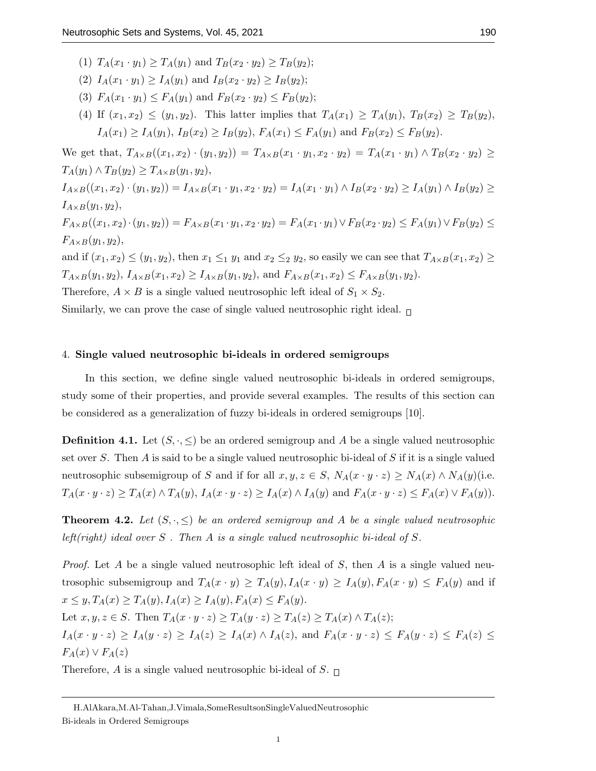- (1)  $T_A(x_1 \cdot y_1) \geq T_A(y_1)$  and  $T_B(x_2 \cdot y_2) \geq T_B(y_2)$ ;
- (2)  $I_A(x_1 \cdot y_1) \geq I_A(y_1)$  and  $I_B(x_2 \cdot y_2) \geq I_B(y_2)$ ;
- (3)  $F_A(x_1 \cdot y_1) \leq F_A(y_1)$  and  $F_B(x_2 \cdot y_2) \leq F_B(y_2)$ ;
- (4) If  $(x_1, x_2) \le (y_1, y_2)$ . This latter implies that  $T_A(x_1) \ge T_A(y_1)$ ,  $T_B(x_2) \ge T_B(y_2)$ ,  $I_A(x_1) \geq I_A(y_1), I_B(x_2) \geq I_B(y_2), F_A(x_1) \leq F_A(y_1)$  and  $F_B(x_2) \leq F_B(y_2)$ .

We get that,  $T_{A\times B}((x_1,x_2)\cdot(y_1,y_2)) = T_{A\times B}(x_1\cdot y_1,x_2\cdot y_2) = T_A(x_1\cdot y_1) \wedge T_B(x_2\cdot y_2) \ge$  $T_A(y_1) \wedge T_B(y_2) \geq T_{A \times B}(y_1, y_2),$  $I_{A\times B}((x_1,x_2)\cdot(y_1,y_2))=I_{A\times B}(x_1\cdot y_1,x_2\cdot y_2)=I_A(x_1\cdot y_1)\wedge I_B(x_2\cdot y_2)\geq I_A(y_1)\wedge I_B(y_2)\geq$  $I_{A\times B}(y_1, y_2),$  $F_{A\times B}((x_1,x_2)\cdot(y_1,y_2)) = F_{A\times B}(x_1\cdot y_1,x_2\cdot y_2) = F_A(x_1\cdot y_1) \vee F_B(x_2\cdot y_2) \leq F_A(y_1) \vee F_B(y_2) \leq$  $F_{A\times B}(y_1, y_2),$ 

and if  $(x_1, x_2) \le (y_1, y_2)$ , then  $x_1 \le_1 y_1$  and  $x_2 \le_2 y_2$ , so easily we can see that  $T_{A \times B}(x_1, x_2) \ge$  $T_{A\times B}(y_1, y_2), I_{A\times B}(x_1, x_2) \geq I_{A\times B}(y_1, y_2),$  and  $F_{A\times B}(x_1, x_2) \leq F_{A\times B}(y_1, y_2)$ .

Therefore,  $A \times B$  is a single valued neutrosophic left ideal of  $S_1 \times S_2$ .

Similarly, we can prove the case of single valued neutrosophic right ideal.  $\Box$ 

## 4. Single valued neutrosophic bi-ideals in ordered semigroups

In this section, we define single valued neutrosophic bi-ideals in ordered semigroups, study some of their properties, and provide several examples. The results of this section can be considered as a generalization of fuzzy bi-ideals in ordered semigroups [10].

**Definition 4.1.** Let  $(S, \cdot, \leq)$  be an ordered semigroup and A be a single valued neutrosophic set over S. Then A is said to be a single valued neutrosophic bi-ideal of S if it is a single valued neutrosophic subsemigroup of S and if for all  $x, y, z \in S$ ,  $N_A(x \cdot y \cdot z) \ge N_A(x) \wedge N_A(y)$  (i.e.  $T_A(x \cdot y \cdot z) \geq T_A(x) \wedge T_A(y)$ ,  $I_A(x \cdot y \cdot z) \geq I_A(x) \wedge I_A(y)$  and  $F_A(x \cdot y \cdot z) \leq F_A(x) \vee F_A(y)$ .

**Theorem 4.2.** Let  $(S, \cdot, \leq)$  be an ordered semigroup and A be a single valued neutrosophic left(right) ideal over  $S$ . Then  $A$  is a single valued neutrosophic bi-ideal of  $S$ .

*Proof.* Let A be a single valued neutrosophic left ideal of S, then A is a single valued neutrosophic subsemigroup and  $T_A(x \cdot y) \geq T_A(y)$ ,  $I_A(x \cdot y) \geq I_A(y)$ ,  $F_A(x \cdot y) \leq F_A(y)$  and if  $x \leq y, T_A(x) \geq T_A(y), I_A(x) \geq I_A(y), F_A(x) \leq F_A(y).$ Let  $x, y, z \in S$ . Then  $T_A(x \cdot y \cdot z) \geq T_A(y \cdot z) \geq T_A(z) \geq T_A(x) \wedge T_A(z);$  $I_A(x \cdot y \cdot z) \ge I_A(y \cdot z) \ge I_A(z) \ge I_A(x) \wedge I_A(z)$ , and  $F_A(x \cdot y \cdot z) \le F_A(y \cdot z) \le F_A(z) \le$  $F_A(x) \vee F_A(z)$ 

Therefore, A is a single valued neutrosophic bi-ideal of S.  $\Box$ 

H.AlAkara,M.Al-Tahan,J.Vimala,SomeResultsonSingleValuedNeutrosophic Bi-ideals in Ordered Semigroups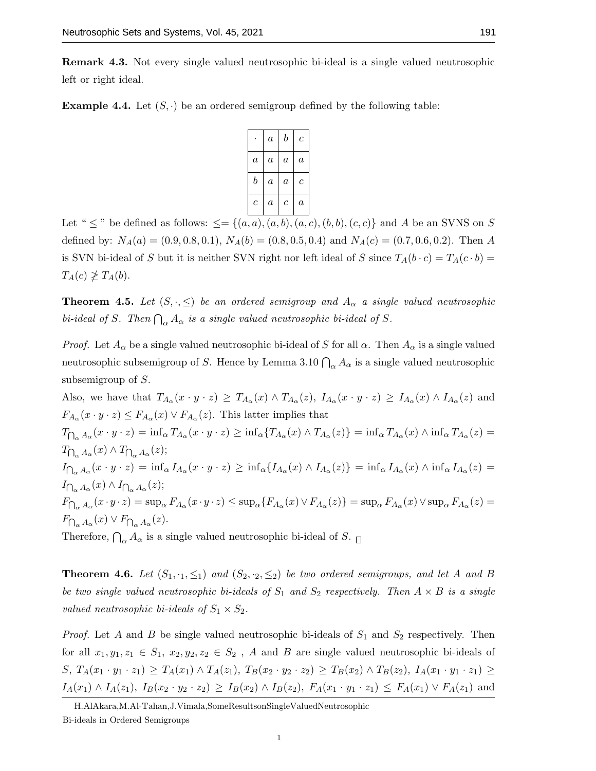Remark 4.3. Not every single valued neutrosophic bi-ideal is a single valued neutrosophic left or right ideal.

**Example 4.4.** Let  $(S, \cdot)$  be an ordered semigroup defined by the following table:

|                  | $\it a$        | b              | c       |
|------------------|----------------|----------------|---------|
| $\boldsymbol{a}$ | $\overline{a}$ | $\overline{a}$ | $\it a$ |
| b                | $\overline{a}$ | $\overline{a}$ | $\,c\,$ |
| c                | $\it a$        | $\,c\,$        | $\it a$ |

Let "  $\leq$  " be defined as follows:  $\leq = \{(a, a), (a, b), (a, c), (b, b), (c, c)\}\$  and A be an SVNS on S defined by:  $N_A(a) = (0.9, 0.8, 0.1), N_A(b) = (0.8, 0.5, 0.4)$  and  $N_A(c) = (0.7, 0.6, 0.2)$ . Then A is SVN bi-ideal of S but it is neither SVN right nor left ideal of S since  $T_A(b \cdot c) = T_A(c \cdot b)$  $T_A(c) \not\geq T_A(b).$ 

**Theorem 4.5.** Let  $(S, \cdot, \leq)$  be an ordered semigroup and  $A_{\alpha}$  a single valued neutrosophic bi-ideal of S. Then  $\bigcap_{\alpha} A_{\alpha}$  is a single valued neutrosophic bi-ideal of S.

*Proof.* Let  $A_{\alpha}$  be a single valued neutrosophic bi-ideal of S for all  $\alpha$ . Then  $A_{\alpha}$  is a single valued neutrosophic subsemigroup of S. Hence by Lemma 3.10  $\bigcap_{\alpha} A_{\alpha}$  is a single valued neutrosophic subsemigroup of S.

Also, we have that  $T_{A_{\alpha}}(x \cdot y \cdot z) \geq T_{A_{\alpha}}(x) \wedge T_{A_{\alpha}}(z), I_{A_{\alpha}}(x \cdot y \cdot z) \geq I_{A_{\alpha}}(x) \wedge I_{A_{\alpha}}(z)$  and  $F_{A_{\alpha}}(x \cdot y \cdot z) \leq F_{A_{\alpha}}(x) \vee F_{A_{\alpha}}(z)$ . This latter implies that  $T_{\bigcap_{\alpha} A_{\alpha}}(x \cdot y \cdot z) = \inf_{\alpha} T_{A_{\alpha}}(x \cdot y \cdot z) \ge \inf_{\alpha} \{ T_{A_{\alpha}}(x) \wedge T_{A_{\alpha}}(z) \} = \inf_{\alpha} T_{A_{\alpha}}(x) \wedge \inf_{\alpha} T_{A_{\alpha}}(z) =$  $T_{\bigcap_{\alpha} A_{\alpha}}(x) \wedge T_{\bigcap_{\alpha} A_{\alpha}}(z);$  $I_{\bigcap_{\alpha} A_{\alpha}}(x \cdot y \cdot z) = \inf_{\alpha} I_{A_{\alpha}}(x \cdot y \cdot z) \geq \inf_{\alpha} \{ I_{A_{\alpha}}(x) \wedge I_{A_{\alpha}}(z) \} = \inf_{\alpha} I_{A_{\alpha}}(x) \wedge \inf_{\alpha} I_{A_{\alpha}}(z) =$  $I_{\bigcap_{\alpha} A_{\alpha}}(x) \wedge I_{\bigcap_{\alpha} A_{\alpha}}(z);$  $F_{\bigcap_{\alpha} A_{\alpha}}(x \cdot y \cdot z) = \sup_{\alpha} F_{A_{\alpha}}(x \cdot y \cdot z) \le \sup_{\alpha} \{ F_{A_{\alpha}}(x) \vee F_{A_{\alpha}}(z) \} = \sup_{\alpha} F_{A_{\alpha}}(x) \vee \sup_{\alpha} F_{A_{\alpha}}(z) =$  $F_{\bigcap_{\alpha} A_{\alpha}}(x) \vee F_{\bigcap_{\alpha} A_{\alpha}}(z).$ 

Therefore,  $\bigcap_{\alpha} A_{\alpha}$  is a single valued neutrosophic bi-ideal of S.

**Theorem 4.6.** Let  $(S_1, \cdot_1, \leq_1)$  and  $(S_2, \cdot_2, \leq_2)$  be two ordered semigroups, and let A and B be two single valued neutrosophic bi-ideals of  $S_1$  and  $S_2$  respectively. Then  $A \times B$  is a single valued neutrosophic bi-ideals of  $S_1 \times S_2$ .

*Proof.* Let A and B be single valued neutrosophic bi-ideals of  $S_1$  and  $S_2$  respectively. Then for all  $x_1, y_1, z_1 \in S_1$ ,  $x_2, y_2, z_2 \in S_2$ , A and B are single valued neutrosophic bi-ideals of  $S, T_A(x_1 \cdot y_1 \cdot z_1) \geq T_A(x_1) \wedge T_A(z_1), T_B(x_2 \cdot y_2 \cdot z_2) \geq T_B(x_2) \wedge T_B(z_2), I_A(x_1 \cdot y_1 \cdot z_1) \geq$  $I_A(x_1) \wedge I_A(z_1), I_B(x_2 \cdot y_2 \cdot z_2) \geq I_B(x_2) \wedge I_B(z_2), F_A(x_1 \cdot y_1 \cdot z_1) \leq F_A(x_1) \vee F_A(z_1)$  and

H.AlAkara,M.Al-Tahan,J.Vimala,SomeResultsonSingleValuedNeutrosophic Bi-ideals in Ordered Semigroups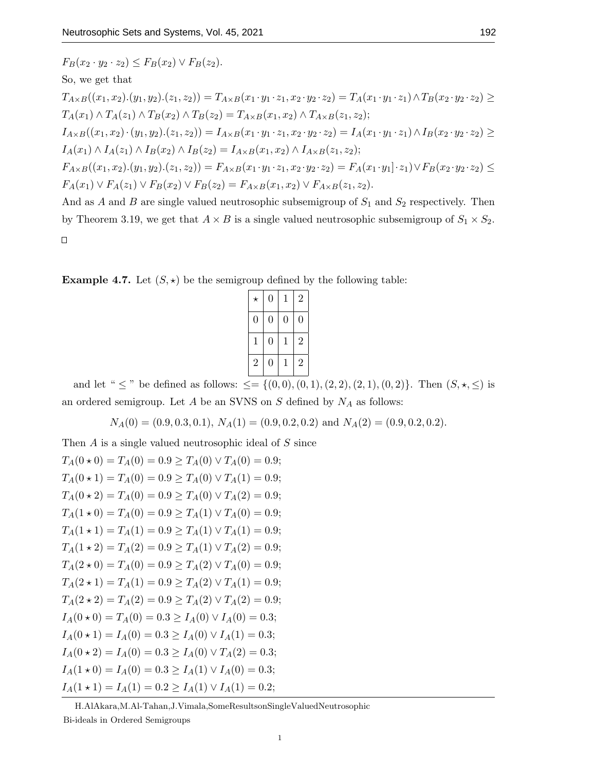$$
F_B(x_2 \cdot y_2 \cdot z_2) \le F_B(x_2) \vee F_B(z_2).
$$
  
\nSo, we get that  
\n
$$
T_{A \times B}((x_1, x_2).(y_1, y_2).(z_1, z_2)) = T_{A \times B}(x_1 \cdot y_1 \cdot z_1, x_2 \cdot y_2 \cdot z_2) = T_A(x_1 \cdot y_1 \cdot z_1) \wedge T_B(x_2 \cdot y_2 \cdot z_2) \ge
$$
  
\n
$$
T_A(x_1) \wedge T_A(z_1) \wedge T_B(x_2) \wedge T_B(z_2) = T_{A \times B}(x_1, x_2) \wedge T_{A \times B}(z_1, z_2);
$$
  
\n
$$
I_{A \times B}((x_1, x_2) \cdot (y_1, y_2). (z_1, z_2)) = I_{A \times B}(x_1 \cdot y_1 \cdot z_1, x_2 \cdot y_2 \cdot z_2) = I_A(x_1 \cdot y_1 \cdot z_1) \wedge I_B(x_2 \cdot y_2 \cdot z_2) \ge
$$
  
\n
$$
I_A(x_1) \wedge I_A(z_1) \wedge I_B(x_2) \wedge I_B(z_2) = I_{A \times B}(x_1, x_2) \wedge I_{A \times B}(z_1, z_2);
$$
  
\n
$$
F_{A \times B}((x_1, x_2). (y_1, y_2). (z_1, z_2)) = F_{A \times B}(x_1 \cdot y_1 \cdot z_1, x_2 \cdot y_2 \cdot z_2) = F_A(x_1 \cdot y_1] \cdot z_1) \vee F_B(x_2 \cdot y_2 \cdot z_2) \le
$$
  
\n
$$
F_A(x_1) \vee F_A(z_1) \vee F_B(x_2) \vee F_B(z_2) = F_{A \times B}(x_1, x_2) \vee F_{A \times B}(z_1, z_2).
$$
  
\nAnd as *A* and *B* are single valued neutroscopic subsemigroup of  $S_1$  and  $S_2$  respectively. Then  
\nby Theorem 3.19, we get that  $A \times B$  is a single valued neutroscopic subsemigroup of  $S_1 \times S_2$ .

**Example 4.7.** Let  $(S, \star)$  be the semigroup defined by the following table:

| 1              | $\overline{0}$ | $\mathbf 1$ | $\overline{2}$ |
|----------------|----------------|-------------|----------------|
| $\overline{2}$ | $\overline{0}$ | 1           | $\overline{2}$ |
|                |                |             |                |

and let "  $\leq$  " be defined as follows:  $\leq = \{(0,0), (0,1), (2, 2), (2, 1), (0, 2)\}.$  Then  $(S, \star, \leq)$  is an ordered semigroup. Let  $A$  be an SVNS on  $S$  defined by  $N_A$  as follows:

 $N_A(0) = (0.9, 0.3, 0.1), N_A(1) = (0.9, 0.2, 0.2) \text{ and } N_A(2) = (0.9, 0.2, 0.2).$ 

Then A is a single valued neutrosophic ideal of S since  $T_A(0 \star 0) = T_A(0) = 0.9 \geq T_A(0) \vee T_A(0) = 0.9;$  $T_A(0 \star 1) = T_A(0) = 0.9 > T_A(0) \vee T_A(1) = 0.9;$  $T_A(0 \star 2) = T_A(0) = 0.9 > T_A(0) \vee T_A(2) = 0.9;$  $T_A(1\star 0) = T_A(0) = 0.9 \geq T_A(1) \vee T_A(0) = 0.9;$  $T_A(1 \star 1) = T_A(1) = 0.9 \geq T_A(1) \vee T_A(1) = 0.9;$  $T_A(1 \star 2) = T_A(2) = 0.9 \geq T_A(1) \vee T_A(2) = 0.9;$  $T_A(2\star 0) = T_A(0) = 0.9 \geq T_A(2) \vee T_A(0) = 0.9;$  $T_A(2 \star 1) = T_A(1) = 0.9 \geq T_A(2) \vee T_A(1) = 0.9;$  $T_A(2 \star 2) = T_A(2) = 0.9 \geq T_A(2) \vee T_A(2) = 0.9;$  $I_A(0 \star 0) = T_A(0) = 0.3 \ge I_A(0) \vee I_A(0) = 0.3;$  $I_A(0 \star 1) = I_A(0) = 0.3 > I_A(0) \vee I_A(1) = 0.3;$  $I_A(0 \star 2) = I_A(0) = 0.3 \ge I_A(0) \vee T_A(2) = 0.3;$  $I_A(1 \star 0) = I_A(0) = 0.3 \ge I_A(1) \vee I_A(0) = 0.3;$  $I_A(1 \star 1) = I_A(1) = 0.2 \ge I_A(1) \vee I_A(1) = 0.2;$ 

H.AlAkara,M.Al-Tahan,J.Vimala,SomeResultsonSingleValuedNeutrosophic Bi-ideals in Ordered Semigroups

1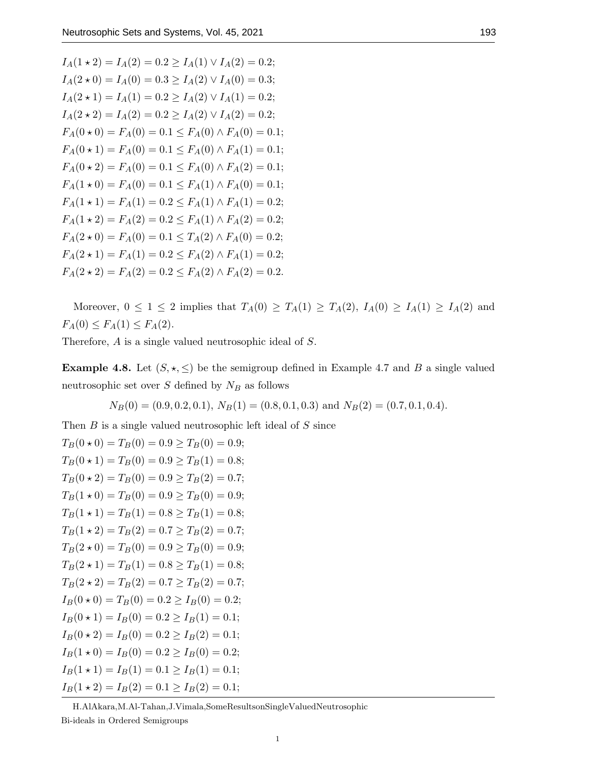$I_A(1 \star 2) = I_A(2) = 0.2 \ge I_A(1) \vee I_A(2) = 0.2;$  $I_A(2\star 0) = I_A(0) = 0.3 > I_A(2) \vee I_A(0) = 0.3;$  $I_A(2 \star 1) = I_A(1) = 0.2 > I_A(2) \vee I_A(1) = 0.2;$  $I_A(2 \star 2) = I_A(2) = 0.2 \ge I_A(2) \vee I_A(2) = 0.2;$  $F_A(0 \star 0) = F_A(0) = 0.1 \leq F_A(0) \wedge F_A(0) = 0.1;$  $F_A(0 \star 1) = F_A(0) = 0.1 \le F_A(0) \wedge F_A(1) = 0.1;$  $F_A(0 \star 2) = F_A(0) = 0.1 \leq F_A(0) \wedge F_A(2) = 0.1$ ;  $F_A(1 \star 0) = F_A(0) = 0.1 \leq F_A(1) \wedge F_A(0) = 0.1;$  $F_A(1 \star 1) = F_A(1) = 0.2 \leq F_A(1) \wedge F_A(1) = 0.2;$  $F_A(1 \star 2) = F_A(2) = 0.2 \leq F_A(1) \wedge F_A(2) = 0.2;$  $F_A(2 \star 0) = F_A(0) = 0.1 \leq T_A(2) \wedge F_A(0) = 0.2;$  $F_A(2 \star 1) = F_A(1) = 0.2 \leq F_A(2) \wedge F_A(1) = 0.2;$  $F_A(2 \star 2) = F_A(2) = 0.2 \leq F_A(2) \wedge F_A(2) = 0.2.$ 

Moreover,  $0 \leq 1 \leq 2$  implies that  $T_A(0) \geq T_A(1) \geq T_A(2)$ ,  $I_A(0) \geq I_A(1) \geq I_A(2)$  and  $F_A(0) \le F_A(1) \le F_A(2)$ .

Therefore, A is a single valued neutrosophic ideal of S.

**Example 4.8.** Let  $(S, \star, \leq)$  be the semigroup defined in Example 4.7 and B a single valued neutrosophic set over  $S$  defined by  $N_B$  as follows

$$
N_B(0) = (0.9, 0.2, 0.1), N_B(1) = (0.8, 0.1, 0.3)
$$
 and  $N_B(2) = (0.7, 0.1, 0.4).$ 

Then  $B$  is a single valued neutrosophic left ideal of  $S$  since

 $T_B(0 \star 0) = T_B(0) = 0.9 \ge T_B(0) = 0.9;$  $T_B(0 \star 1) = T_B(0) = 0.9 > T_B(1) = 0.8;$  $T_B(0 \star 2) = T_B(0) = 0.9 > T_B(2) = 0.7;$  $T_B(1\star 0) = T_B(0) = 0.9 > T_B(0) = 0.9;$  $T_B(1 \star 1) = T_B(1) = 0.8 > T_B(1) = 0.8;$  $T_B(1 \star 2) = T_B(2) = 0.7 \ge T_B(2) = 0.7;$  $T_B(2 \star 0) = T_B(0) = 0.9 \ge T_B(0) = 0.9;$  $T_B(2 \star 1) = T_B(1) = 0.8 \ge T_B(1) = 0.8;$  $T_B(2 \star 2) = T_B(2) = 0.7 \ge T_B(2) = 0.7;$  $I_B(0 \star 0) = T_B(0) = 0.2 \ge I_B(0) = 0.2;$  $I_B(0 \star 1) = I_B(0) = 0.2 \ge I_B(1) = 0.1;$  $I_B(0 \star 2) = I_B(0) = 0.2 > I_B(2) = 0.1;$  $I_B(1\star 0) = I_B(0) = 0.2 > I_B(0) = 0.2;$  $I_B(1 \star 1) = I_B(1) = 0.1 \ge I_B(1) = 0.1;$  $I_B(1 \star 2) = I_B(2) = 0.1 \ge I_B(2) = 0.1;$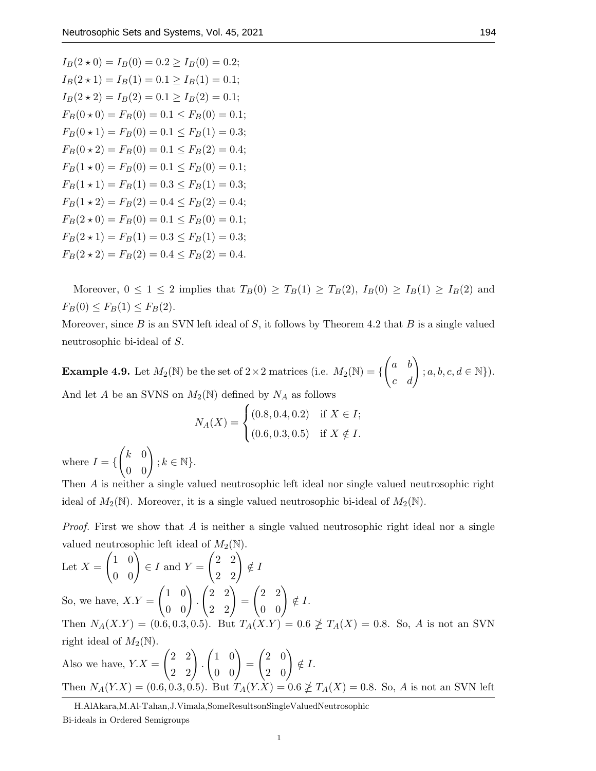$I_B(2 \star 0) = I_B(0) = 0.2 > I_B(0) = 0.2;$  $I_B(2 \star 1) = I_B(1) = 0.1 > I_B(1) = 0.1;$  $I_B(2 \star 2) = I_B(2) = 0.1 > I_B(2) = 0.1;$  $F_B(0 \star 0) = F_B(0) = 0.1 \leq F_B(0) = 0.1;$  $F_B(0 \star 1) = F_B(0) = 0.1 \leq F_B(1) = 0.3;$  $F_B(0 \star 2) = F_B(0) = 0.1 \leq F_B(2) = 0.4;$  $F_B(1 \star 0) = F_B(0) = 0.1 \le F_B(0) = 0.1;$  $F_B(1 \star 1) = F_B(1) = 0.3 \le F_B(1) = 0.3$ ;  $F_B(1 \star 2) = F_B(2) = 0.4 \leq F_B(2) = 0.4;$  $F_B(2 \star 0) = F_B(0) = 0.1 \leq F_B(0) = 0.1;$  $F_B(2 \star 1) = F_B(1) = 0.3 \le F_B(1) = 0.3;$  $F_B(2 \star 2) = F_B(2) = 0.4 \le F_B(2) = 0.4$ .

Moreover,  $0 \leq 1 \leq 2$  implies that  $T_B(0) \geq T_B(1) \geq T_B(2)$ ,  $I_B(0) \geq I_B(1) \geq I_B(2)$  and  $F_B(0) \le F_B(1) \le F_B(2)$ .

Moreover, since  $B$  is an SVN left ideal of  $S$ , it follows by Theorem 4.2 that  $B$  is a single valued neutrosophic bi-ideal of S.

**Example 4.9.** Let  $M_2(\mathbb{N})$  be the set of  $2 \times 2$  matrices (i.e.  $M_2(\mathbb{N}) = \{$  $\begin{pmatrix} a & b \\ c & d \end{pmatrix}$  $; a, b, c, d \in \mathbb{N}\}.$ And let A be an SVNS on  $M_2(N)$  defined by  $N_A$  as follows

$$
N_A(X) = \begin{cases} (0.8, 0.4, 0.2) & \text{if } X \in I; \\ (0.6, 0.3, 0.5) & \text{if } X \notin I. \end{cases}
$$

where  $I = \{$  $\begin{pmatrix} k & 0 \\ 0 & 0 \end{pmatrix}$  $; k \in \mathbb{N} \}.$ 

Then A is neither a single valued neutrosophic left ideal nor single valued neutrosophic right ideal of  $M_2(\mathbb{N})$ . Moreover, it is a single valued neutrosophic bi-ideal of  $M_2(\mathbb{N})$ .

*Proof.* First we show that A is neither a single valued neutrosophic right ideal nor a single valued neutrosophic left ideal of  $M_2(\mathbb{N})$ .

Let 
$$
X = \begin{pmatrix} 1 & 0 \ 0 & 0 \end{pmatrix} \in I
$$
 and  $Y = \begin{pmatrix} 2 & 2 \ 2 & 2 \end{pmatrix} \notin I$   
\nSo, we have,  $XY = \begin{pmatrix} 1 & 0 \ 0 & 0 \end{pmatrix} \cdot \begin{pmatrix} 2 & 2 \ 2 & 2 \end{pmatrix} = \begin{pmatrix} 2 & 2 \ 0 & 0 \end{pmatrix} \notin I$ .  
\nThen  $N_A(X.Y) = (0.6, 0.3, 0.5)$ . But  $T_A(X.Y) = 0.6 \ngeq T_A(X) = 0.8$ . So,  $A$  is not an SVM  
\nright ideal of  $M_2(\mathbb{N})$ .  
\nAlso we have,  $Y.X = \begin{pmatrix} 2 & 2 \ 2 & 2 \end{pmatrix} \cdot \begin{pmatrix} 1 & 0 \ 0 & 0 \end{pmatrix} = \begin{pmatrix} 2 & 0 \ 2 & 0 \end{pmatrix} \notin I$ .  
\nThen  $N_A(Y.X) = (0.6, 0.3, 0.5)$ . But  $T_A(Y.X) = 0.6 \ngeq T_A(X) = 0.8$ . So,  $A$  is not an SVM left

H.AlAkara,M.Al-Tahan,J.Vimala,SomeResultsonSingleValuedNeutrosophic Bi-ideals in Ordered Semigroups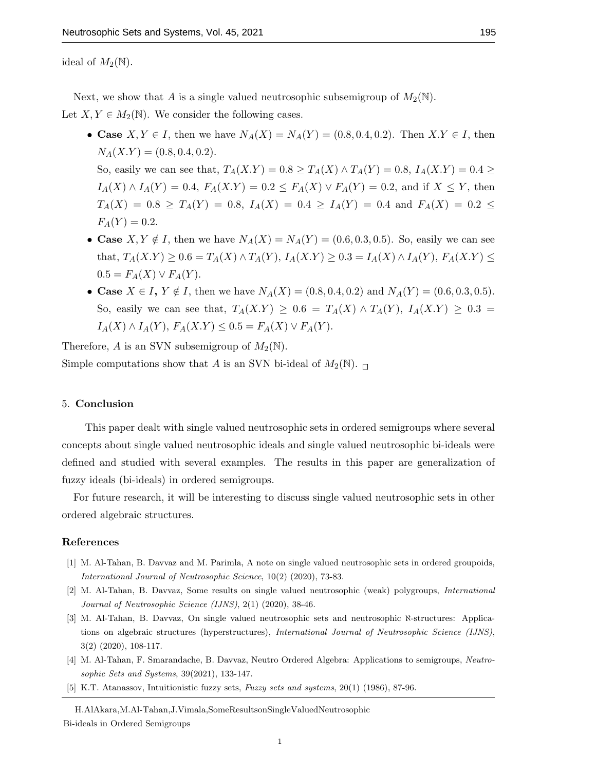ideal of  $M_2(\mathbb{N})$ .

Next, we show that A is a single valued neutrosophic subsemigroup of  $M_2(\mathbb{N})$ .

Let  $X, Y \in M_2(\mathbb{N})$ . We consider the following cases.

• Case  $X, Y \in I$ , then we have  $N_A(X) = N_A(Y) = (0.8, 0.4, 0.2)$ . Then  $X, Y \in I$ , then  $N_A(X,Y) = (0.8, 0.4, 0.2).$ 

So, easily we can see that,  $T_A(X.Y) = 0.8 \ge T_A(X) \wedge T_A(Y) = 0.8$ ,  $I_A(X.Y) = 0.4 \ge$  $I_A(X) \wedge I_A(Y) = 0.4$ ,  $F_A(X,Y) = 0.2 \le F_A(X) \vee F_A(Y) = 0.2$ , and if  $X \le Y$ , then  $T_A(X) = 0.8 \geq T_A(Y) = 0.8$ ,  $I_A(X) = 0.4 \geq I_A(Y) = 0.4$  and  $F_A(X) = 0.2 \leq$  $F_A(Y) = 0.2.$ 

- Case  $X, Y \notin I$ , then we have  $N_A(X) = N_A(Y) = (0.6, 0.3, 0.5)$ . So, easily we can see that,  $T_A(X.Y) \ge 0.6 = T_A(X) \wedge T_A(Y)$ ,  $I_A(X.Y) \ge 0.3 = I_A(X) \wedge I_A(Y)$ ,  $F_A(X.Y) \le$  $0.5 = F_A(X) \vee F_A(Y)$ .
- Case  $X \in I$ ,  $Y \notin I$ , then we have  $N_A(X) = (0.8, 0.4, 0.2)$  and  $N_A(Y) = (0.6, 0.3, 0.5)$ . So, easily we can see that,  $T_A(X,Y) \geq 0.6 = T_A(X) \wedge T_A(Y)$ ,  $I_A(X,Y) \geq 0.3 =$  $I_A(X) \wedge I_A(Y)$ ,  $F_A(X,Y) \leq 0.5 = F_A(X) \vee F_A(Y)$ .

Therefore, A is an SVN subsemigroup of  $M_2(\mathbb{N})$ .

Simple computations show that A is an SVN bi-ideal of  $M_2(\mathbb{N})$ .

## 5. Conclusion

This paper dealt with single valued neutrosophic sets in ordered semigroups where several concepts about single valued neutrosophic ideals and single valued neutrosophic bi-ideals were defined and studied with several examples. The results in this paper are generalization of fuzzy ideals (bi-ideals) in ordered semigroups.

For future research, it will be interesting to discuss single valued neutrosophic sets in other ordered algebraic structures.

## References

- [1] M. Al-Tahan, B. Davvaz and M. Parimla, A note on single valued neutrosophic sets in ordered groupoids, International Journal of Neutrosophic Science, 10(2) (2020), 73-83.
- [2] M. Al-Tahan, B. Davvaz, Some results on single valued neutrosophic (weak) polygroups, International Journal of Neutrosophic Science (IJNS), 2(1) (2020), 38-46.
- [3] M. Al-Tahan, B. Davvaz, On single valued neutrosophic sets and neutrosophic  $\aleph$ -structures: Applications on algebraic structures (hyperstructures), International Journal of Neutrosophic Science (IJNS), 3(2) (2020), 108-117.
- [4] M. Al-Tahan, F. Smarandache, B. Davvaz, Neutro Ordered Algebra: Applications to semigroups, Neutrosophic Sets and Systems, 39(2021), 133-147.
- [5] K.T. Atanassov, Intuitionistic fuzzy sets, Fuzzy sets and systems, 20(1) (1986), 87-96.